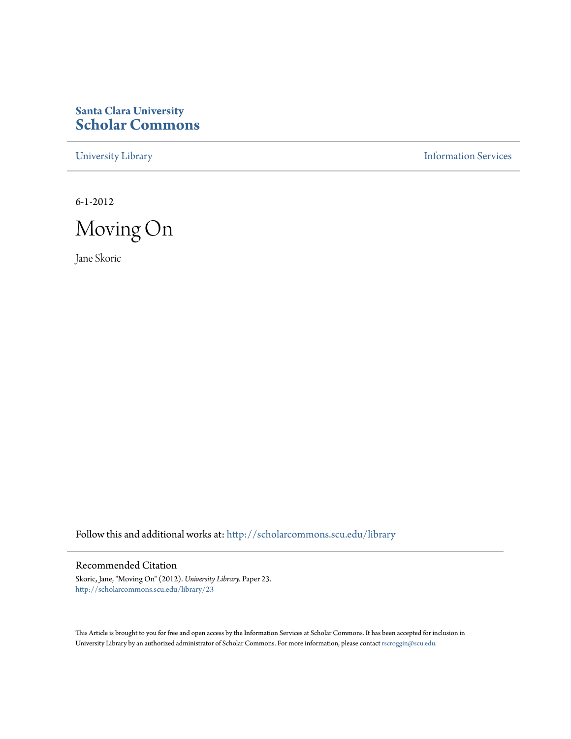## **Santa Clara University [Scholar Commons](http://scholarcommons.scu.edu?utm_source=scholarcommons.scu.edu%2Flibrary%2F23&utm_medium=PDF&utm_campaign=PDFCoverPages)**

[University Library](http://scholarcommons.scu.edu/library?utm_source=scholarcommons.scu.edu%2Flibrary%2F23&utm_medium=PDF&utm_campaign=PDFCoverPages) **[Information Services](http://scholarcommons.scu.edu/is?utm_source=scholarcommons.scu.edu%2Flibrary%2F23&utm_medium=PDF&utm_campaign=PDFCoverPages)** 

6-1-2012



Jane Skoric

Follow this and additional works at: [http://scholarcommons.scu.edu/library](http://scholarcommons.scu.edu/library?utm_source=scholarcommons.scu.edu%2Flibrary%2F23&utm_medium=PDF&utm_campaign=PDFCoverPages)

## Recommended Citation

Skoric, Jane, "Moving On" (2012). *University Library.* Paper 23. [http://scholarcommons.scu.edu/library/23](http://scholarcommons.scu.edu/library/23?utm_source=scholarcommons.scu.edu%2Flibrary%2F23&utm_medium=PDF&utm_campaign=PDFCoverPages)

This Article is brought to you for free and open access by the Information Services at Scholar Commons. It has been accepted for inclusion in University Library by an authorized administrator of Scholar Commons. For more information, please contact [rscroggin@scu.edu.](mailto:rscroggin@scu.edu)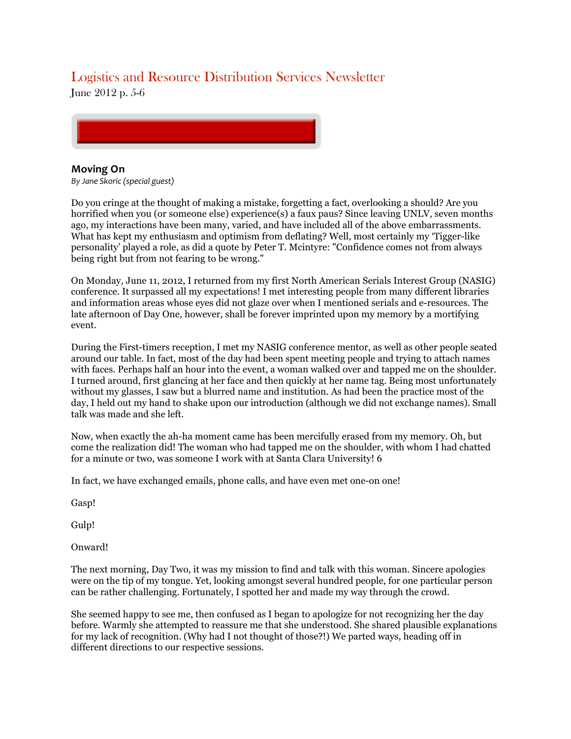## Logistics and Resource Distribution Services Newsletter

June 2012 p. 5-6



## **Moving On**

*By Jane Skoric (special guest)* 

Do you cringe at the thought of making a mistake, forgetting a fact, overlooking a should? Are you horrified when you (or someone else) experience(s) a faux paus? Since leaving UNLV, seven months ago, my interactions have been many, varied, and have included all of the above embarrassments. What has kept my enthusiasm and optimism from deflating? Well, most certainly my 'Tigger-like personality' played a role, as did a quote by Peter T. Mcintyre: "Confidence comes not from always being right but from not fearing to be wrong."

On Monday, June 11, 2012, I returned from my first North American Serials Interest Group (NASIG) conference. It surpassed all my expectations! I met interesting people from many different libraries and information areas whose eyes did not glaze over when I mentioned serials and e-resources. The late afternoon of Day One, however, shall be forever imprinted upon my memory by a mortifying event.

During the First-timers reception, I met my NASIG conference mentor, as well as other people seated around our table. In fact, most of the day had been spent meeting people and trying to attach names with faces. Perhaps half an hour into the event, a woman walked over and tapped me on the shoulder. I turned around, first glancing at her face and then quickly at her name tag. Being most unfortunately without my glasses, I saw but a blurred name and institution. As had been the practice most of the day, I held out my hand to shake upon our introduction (although we did not exchange names). Small talk was made and she left.

Now, when exactly the ah-ha moment came has been mercifully erased from my memory. Oh, but come the realization did! The woman who had tapped me on the shoulder, with whom I had chatted for a minute or two, was someone I work with at Santa Clara University! 6

In fact, we have exchanged emails, phone calls, and have even met one-on one!

Gasp!

Gulp!

Onward!

The next morning, Day Two, it was my mission to find and talk with this woman. Sincere apologies were on the tip of my tongue. Yet, looking amongst several hundred people, for one particular person can be rather challenging. Fortunately, I spotted her and made my way through the crowd.

She seemed happy to see me, then confused as I began to apologize for not recognizing her the day before. Warmly she attempted to reassure me that she understood. She shared plausible explanations for my lack of recognition. (Why had I not thought of those?!) We parted ways, heading off in different directions to our respective sessions.